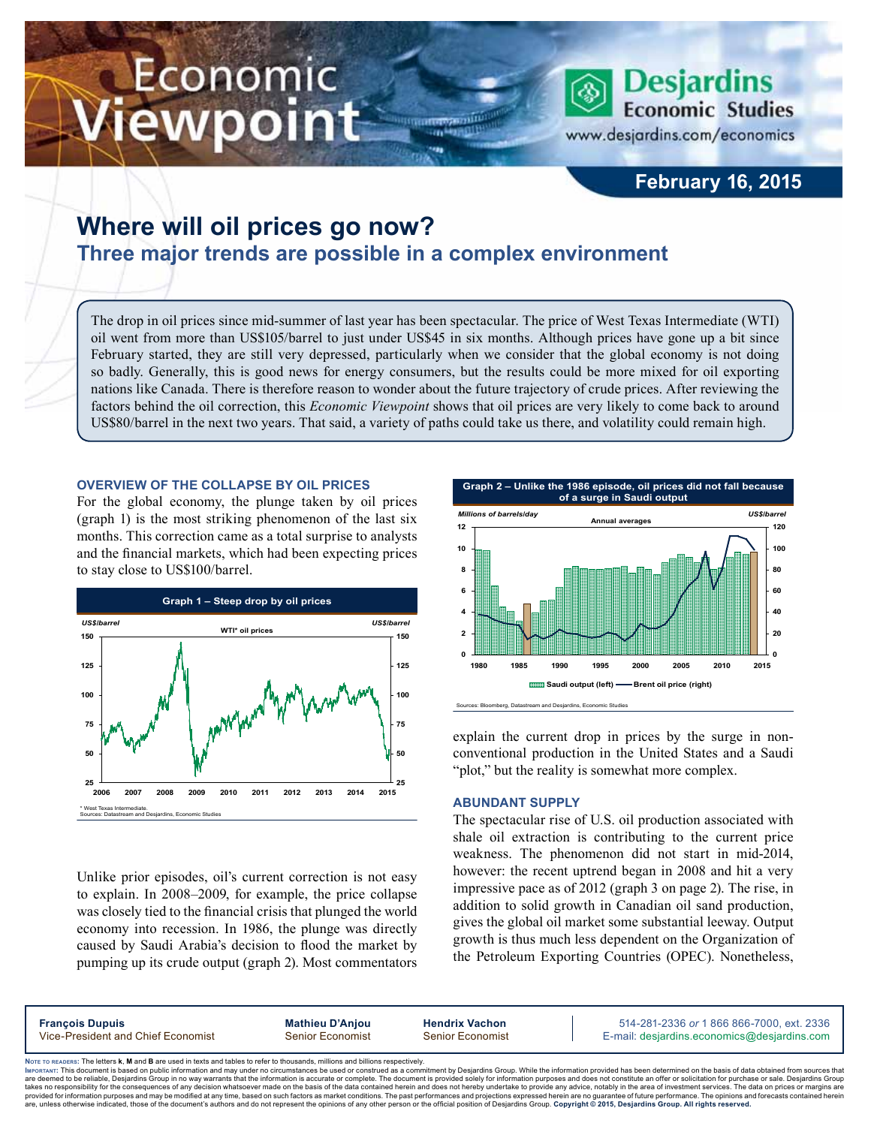# Economic ewpoint



www.desjardins.com/economics

### **February 16, 2015**

## **Where will oil prices go now? Three major trends are possible in a complex environment**

The drop in oil prices since mid-summer of last year has been spectacular. The price of West Texas Intermediate (WTI) oil went from more than US\$105/barrel to just under US\$45 in six months. Although prices have gone up a bit since February started, they are still very depressed, particularly when we consider that the global economy is not doing so badly. Generally, this is good news for energy consumers, but the results could be more mixed for oil exporting nations like Canada. There is therefore reason to wonder about the future trajectory of crude prices. After reviewing the factors behind the oil correction, this *Economic Viewpoint* shows that oil prices are very likely to come back to around US\$80/barrel in the next two years. That said, a variety of paths could take us there, and volatility could remain high.

m

#### **Overview of the collapse by oil prices**

For the global economy, the plunge taken by oil prices (graph 1) is the most striking phenomenon of the last six months. This correction came as a total surprise to analysts and the financial markets, which had been expecting prices to stay close to US\$100/barrel.



Unlike prior episodes, oil's current correction is not easy to explain. In 2008–2009, for example, the price collapse was closely tied to the financial crisis that plunged the world economy into recession. In 1986, the plunge was directly caused by Saudi Arabia's decision to flood the market by pumping up its crude output (graph 2). Most commentators



explain the current drop in prices by the surge in nonconventional production in the United States and a Saudi "plot," but the reality is somewhat more complex.

#### **Abundant supply**

The spectacular rise of U.S. oil production associated with shale oil extraction is contributing to the current price weakness. The phenomenon did not start in mid-2014, however: the recent uptrend began in 2008 and hit a very impressive pace as of 2012 (graph 3 on page 2). The rise, in addition to solid growth in Canadian oil sand production, gives the global oil market some substantial leeway. Output growth is thus much less dependent on the Organization of the Petroleum Exporting Countries (OPEC). Nonetheless,

**François Dupuis Mathieu D'Anjou Hendrix Vachon** 514-281-2336 *or* 1 866 866-7000, ext. 2336 Vice-President and Chief Economist Senior Economist Senior Economist E-mail: desjardins.economics@desjardins.com

Noте то келоекs: The letters **k, M** and **B** are used in texts and tables to refer to thousands, millions and billions respectively.<br>Імроктлит: This document is based on public information and may under no circumstances be are deemed to be reliable. Desiardins Group in no way warrants that the information is accurate or complete. The document is provided solely for information purposes and does not constitute an offer or solicitation for pur takes no responsibility for the consequences of any decision whatsoever made on the basis of the data contained herein and does not hereby undertake to provide any advice, notably in the area of investment services. The da .<br>are, unless otherwise indicated, those of the document's authors and do not represent the opinions of any other person or the official position of Desjardins Group. Copyright © 2015, Desjardins Group. All rights reserve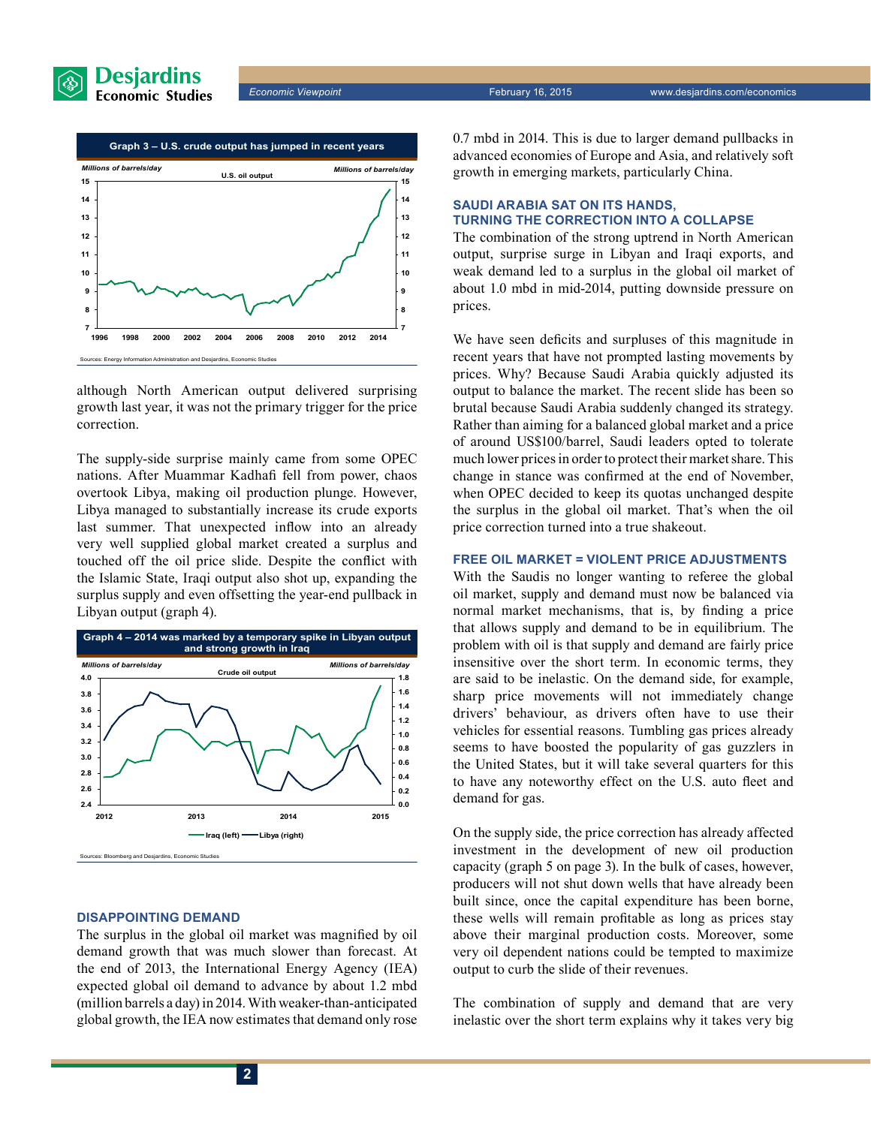



although North American output delivered surprising growth last year, it was not the primary trigger for the price correction.

The supply-side surprise mainly came from some OPEC nations. After Muammar Kadhafi fell from power, chaos overtook Libya, making oil production plunge. However, Libya managed to substantially increase its crude exports last summer. That unexpected inflow into an already very well supplied global market created a surplus and touched off the oil price slide. Despite the conflict with the Islamic State, Iraqi output also shot up, expanding the surplus supply and even offsetting the year-end pullback in Libyan output (graph 4).



#### **Disappointing demand**

The surplus in the global oil market was magnified by oil demand growth that was much slower than forecast. At the end of 2013, the International Energy Agency (IEA) expected global oil demand to advance by about 1.2 mbd (million barrels a day) in 2014. With weaker-than-anticipated global growth, the IEA now estimates that demand only rose 0.7 mbd in 2014. This is due to larger demand pullbacks in advanced economies of Europe and Asia, and relatively soft growth in emerging markets, particularly China.

#### **Saudi Arabia sat on its hands, turning the correction into a collapse**

The combination of the strong uptrend in North American output, surprise surge in Libyan and Iraqi exports, and weak demand led to a surplus in the global oil market of about 1.0 mbd in mid-2014, putting downside pressure on prices.

We have seen deficits and surpluses of this magnitude in recent years that have not prompted lasting movements by prices. Why? Because Saudi Arabia quickly adjusted its output to balance the market. The recent slide has been so brutal because Saudi Arabia suddenly changed its strategy. Rather than aiming for a balanced global market and a price of around US\$100/barrel, Saudi leaders opted to tolerate much lower prices in order to protect their market share. This change in stance was confirmed at the end of November, when OPEC decided to keep its quotas unchanged despite the surplus in the global oil market. That's when the oil price correction turned into a true shakeout.

#### **Free oil market = violent price adjustments**

With the Saudis no longer wanting to referee the global oil market, supply and demand must now be balanced via normal market mechanisms, that is, by finding a price that allows supply and demand to be in equilibrium. The problem with oil is that supply and demand are fairly price insensitive over the short term. In economic terms, they are said to be inelastic. On the demand side, for example, sharp price movements will not immediately change drivers' behaviour, as drivers often have to use their vehicles for essential reasons. Tumbling gas prices already seems to have boosted the popularity of gas guzzlers in the United States, but it will take several quarters for this to have any noteworthy effect on the U.S. auto fleet and demand for gas.

On the supply side, the price correction has already affected investment in the development of new oil production capacity (graph 5 on page 3). In the bulk of cases, however, producers will not shut down wells that have already been built since, once the capital expenditure has been borne, these wells will remain profitable as long as prices stay above their marginal production costs. Moreover, some very oil dependent nations could be tempted to maximize output to curb the slide of their revenues.

The combination of supply and demand that are very inelastic over the short term explains why it takes very big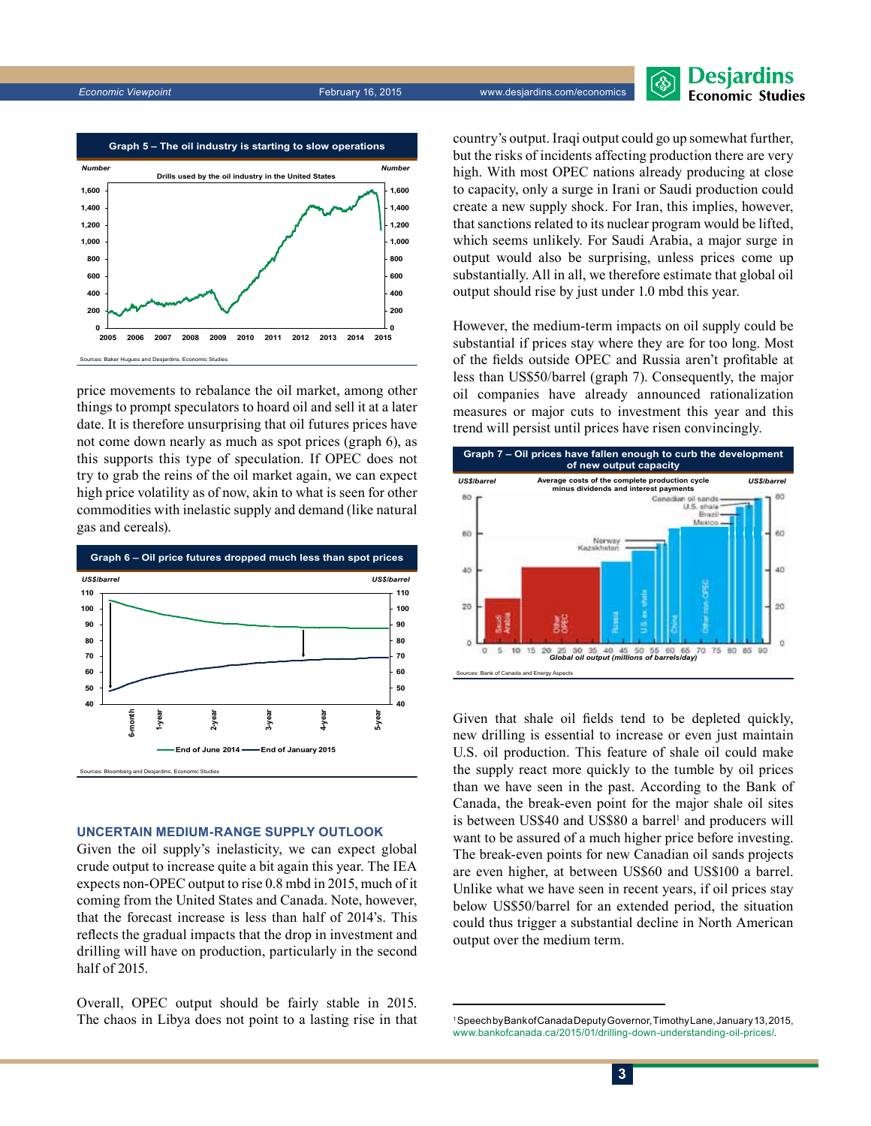



price movements to rebalance the oil market, among other things to prompt speculators to hoard oil and sell it at a later date. It is therefore unsurprising that oil futures prices have not come down nearly as much as spot prices (graph 6), as this supports this type of speculation. If OPEC does not try to grab the reins of the oil market again, we can expect high price volatility as of now, akin to what is seen for other commodities with inelastic supply and demand (like natural gas and cereals).



#### **Uncertain medium-range supply outlook**

Given the oil supply's inelasticity, we can expect global crude output to increase quite a bit again this year. The IEA expects non-OPEC output to rise 0.8 mbd in 2015, much of it coming from the United States and Canada. Note, however, that the forecast increase is less than half of 2014's. This reflects the gradual impacts that the drop in investment and drilling will have on production, particularly in the second half of 2015.

Overall, OPEC output should be fairly stable in 2015. The chaos in Libya does not point to a lasting rise in that country's output. Iraqi output could go up somewhat further, but the risks of incidents affecting production there are very high. With most OPEC nations already producing at close to capacity, only a surge in Irani or Saudi production could create a new supply shock. For Iran, this implies, however, that sanctions related to its nuclear program would be lifted, which seems unlikely. For Saudi Arabia, a major surge in output would also be surprising, unless prices come up substantially. All in all, we therefore estimate that global oil output should rise by just under 1.0 mbd this year.

However, the medium-term impacts on oil supply could be substantial if prices stay where they are for too long. Most of the fields outside OPEC and Russia aren't profitable at less than US\$50/barrel (graph 7). Consequently, the major oil companies have already announced rationalization measures or major cuts to investment this year and this trend will persist until prices have risen convincingly.



Given that shale oil fields tend to be depleted quickly, new drilling is essential to increase or even just maintain U.S. oil production. This feature of shale oil could make the supply react more quickly to the tumble by oil prices than we have seen in the past. According to the Bank of Canada, the break-even point for the major shale oil sites is between US\$40 and US\$80 a barrel<sup>1</sup> and producers will want to be assured of a much higher price before investing. The break-even points for new Canadian oil sands projects are even higher, at between US\$60 and US\$100 a barrel. Unlike what we have seen in recent years, if oil prices stay below US\$50/barrel for an extended period, the situation could thus trigger a substantial decline in North American output over the medium term.

<sup>1</sup> Speech by Bank of Canada Deputy Governor, TimothyLane, January13,2015, [www.bankofcanada.ca/2015/01/drilling-down-understanding-oil-prices/](http://www.bankofcanada.ca/2015/01/drilling-down-understanding-oil-prices/).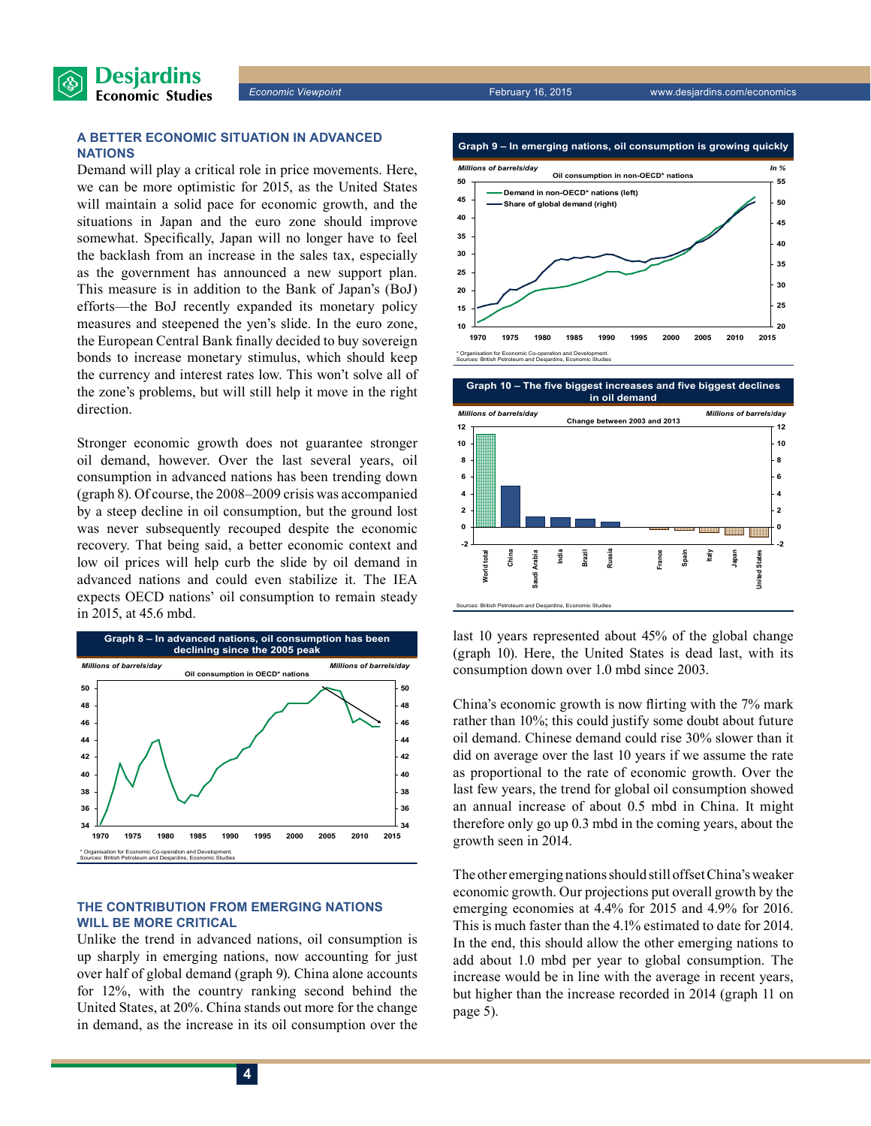

#### **A better economic situation in advanced nations**

Demand will play a critical role in price movements. Here, we can be more optimistic for 2015, as the United States will maintain a solid pace for economic growth, and the situations in Japan and the euro zone should improve somewhat. Specifically, Japan will no longer have to feel the backlash from an increase in the sales tax, especially as the government has announced a new support plan. This measure is in addition to the Bank of Japan's (BoJ) efforts—the BoJ recently expanded its monetary policy measures and steepened the yen's slide. In the euro zone, the European Central Bank finally decided to buy sovereign bonds to increase monetary stimulus, which should keep the currency and interest rates low. This won't solve all of the zone's problems, but will still help it move in the right direction.

Stronger economic growth does not guarantee stronger oil demand, however. Over the last several years, oil consumption in advanced nations has been trending down (graph 8). Of course, the 2008–2009 crisis was accompanied by a steep decline in oil consumption, but the ground lost was never subsequently recouped despite the economic recovery. That being said, a better economic context and low oil prices will help curb the slide by oil demand in advanced nations and could even stabilize it. The IEA expects OECD nations' oil consumption to remain steady in 2015, at 45.6 mbd.



#### **The contribution from emerging nations will be more critical**

Unlike the trend in advanced nations, oil consumption is up sharply in emerging nations, now accounting for just over half of global demand (graph 9). China alone accounts for 12%, with the country ranking second behind the United States, at 20%. China stands out more for the change in demand, as the increase in its oil consumption over the



**Graph 10 – The five biggest increases and five biggest declines**



last 10 years represented about 45% of the global change (graph 10). Here, the United States is dead last, with its consumption down over 1.0 mbd since 2003.

China's economic growth is now flirting with the 7% mark rather than 10%; this could justify some doubt about future oil demand. Chinese demand could rise 30% slower than it did on average over the last 10 years if we assume the rate as proportional to the rate of economic growth. Over the last few years, the trend for global oil consumption showed an annual increase of about 0.5 mbd in China. It might therefore only go up 0.3 mbd in the coming years, about the growth seen in 2014.

The other emerging nations should still offset China's weaker economic growth. Our projections put overall growth by the emerging economies at 4.4% for 2015 and 4.9% for 2016. This is much faster than the 4.1% estimated to date for 2014. In the end, this should allow the other emerging nations to add about 1.0 mbd per year to global consumption. The increase would be in line with the average in recent years, but higher than the increase recorded in 2014 (graph 11 on page 5).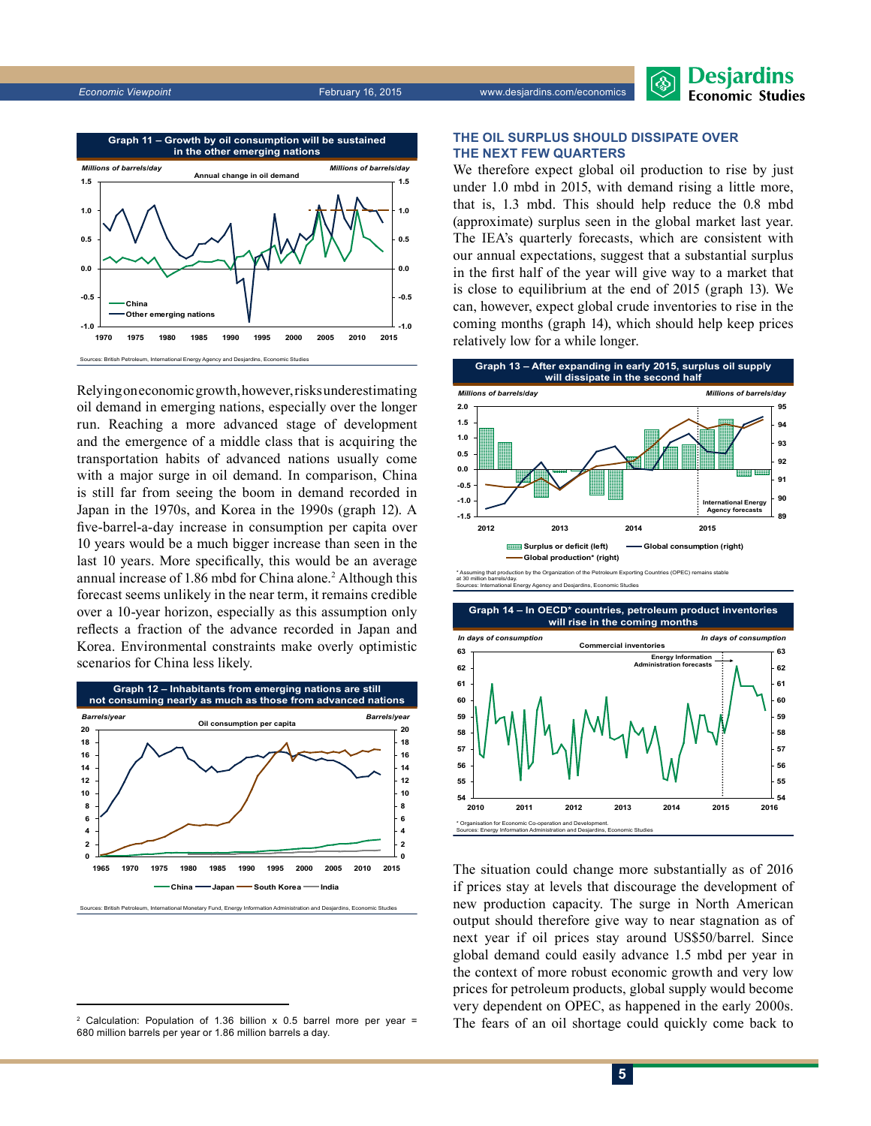**Desjardins Economic Studies** 



Relying on economic growth, however, risks underestimating oil demand in emerging nations, especially over the longer run. Reaching a more advanced stage of development and the emergence of a middle class that is acquiring the transportation habits of advanced nations usually come with a major surge in oil demand. In comparison, China is still far from seeing the boom in demand recorded in Japan in the 1970s, and Korea in the 1990s (graph 12). A five-barrel-a-day increase in consumption per capita over 10 years would be a much bigger increase than seen in the last 10 years. More specifically, this would be an average annual increase of 1.86 mbd for China alone.<sup>2</sup> Although this forecast seems unlikely in the near term, it remains credible over a 10‑year horizon, especially as this assumption only reflects a fraction of the advance recorded in Japan and Korea. Environmental constraints make overly optimistic scenarios for China less likely.



Sources: British Petroleum, International Monetary Fund, Energy Information Administration and Desjardins, Economic Studies

#### **The oil surplus should dissipate over the next few quarters**

We therefore expect global oil production to rise by just under 1.0 mbd in 2015, with demand rising a little more, that is, 1.3 mbd. This should help reduce the 0.8 mbd (approximate) surplus seen in the global market last year. The IEA's quarterly forecasts, which are consistent with our annual expectations, suggest that a substantial surplus in the first half of the year will give way to a market that is close to equilibrium at the end of 2015 (graph 13). We can, however, expect global crude inventories to rise in the coming months (graph 14), which should help keep prices relatively low for a while longer.



at 30 million barrels/day. cy and Desj



The situation could change more substantially as of 2016 if prices stay at levels that discourage the development of new production capacity. The surge in North American output should therefore give way to near stagnation as of next year if oil prices stay around US\$50/barrel. Since global demand could easily advance 1.5 mbd per year in the context of more robust economic growth and very low prices for petroleum products, global supply would become very dependent on OPEC, as happened in the early 2000s. The fears of an oil shortage could quickly come back to

<sup>2</sup> Calculation: Population of 1.36 billion  $x$  0.5 barrel more per year = 680 million barrels per year or 1.86 million barrels a day.